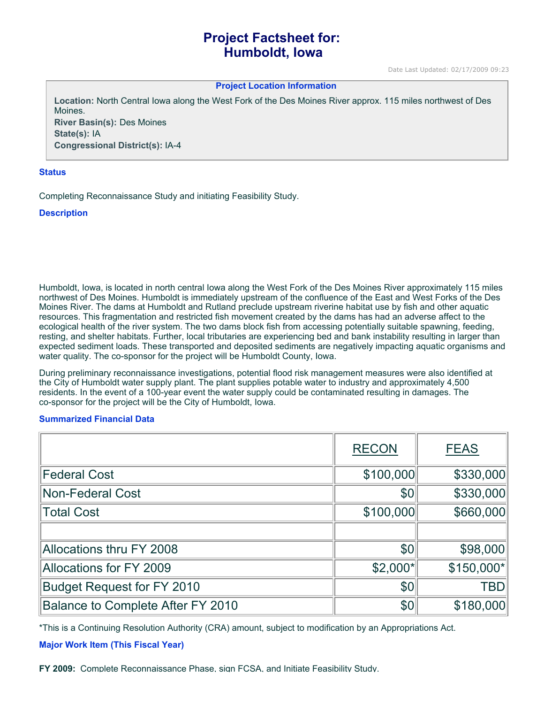# **Project Factsheet for: Humboldt, Iowa**

#### **Project Location Information**

**Location:** North Central Iowa along the West Fork of the Des Moines River approx. 115 miles northwest of Des Moines. **River Basin(s):** Des Moines

**State(s):** IA **Congressional District(s):** IA-4

#### **Status**

Completing Reconnaissance Study and initiating Feasibility Study.

### **Description**

Humboldt, Iowa, is located in north central Iowa along the West Fork of the Des Moines River approximately 115 miles northwest of Des Moines. Humboldt is immediately upstream of the confluence of the East and West Forks of the Des Moines River. The dams at Humboldt and Rutland preclude upstream riverine habitat use by fish and other aquatic resources. This fragmentation and restricted fish movement created by the dams has had an adverse affect to the ecological health of the river system. The two dams block fish from accessing potentially suitable spawning, feeding, resting, and shelter habitats. Further, local tributaries are experiencing bed and bank instability resulting in larger than expected sediment loads. These transported and deposited sediments are negatively impacting aquatic organisms and water quality. The co-sponsor for the project will be Humboldt County, Iowa.

During preliminary reconnaissance investigations, potential flood risk management measures were also identified at the City of Humboldt water supply plant. The plant supplies potable water to industry and approximately 4,500 residents. In the event of a 100-year event the water supply could be contaminated resulting in damages. The co-sponsor for the project will be the City of Humboldt, Iowa.

### **Summarized Financial Data**

|                                   | <b>RECON</b> | <b>FEAS</b> |
|-----------------------------------|--------------|-------------|
| <b>Federal Cost</b>               | \$100,000    | \$330,000   |
| <b>Non-Federal Cost</b>           | \$0          | \$330,000   |
| <b>Total Cost</b>                 | \$100,000    | \$660,000   |
|                                   |              |             |
| Allocations thru FY 2008          | \$0          | \$98,000    |
| Allocations for FY 2009           | $$2,000*$    | \$150,000*  |
| <b>Budget Request for FY 2010</b> | \$0          | <b>TBD</b>  |
| Balance to Complete After FY 2010 | \$0          | \$180,000   |

\*This is a Continuing Resolution Authority (CRA) amount, subject to modification by an Appropriations Act.

### **Major Work Item (This Fiscal Year)**

**FY 2009:** Complete Reconnaissance Phase, sign FCSA, and Initiate Feasibility Study.